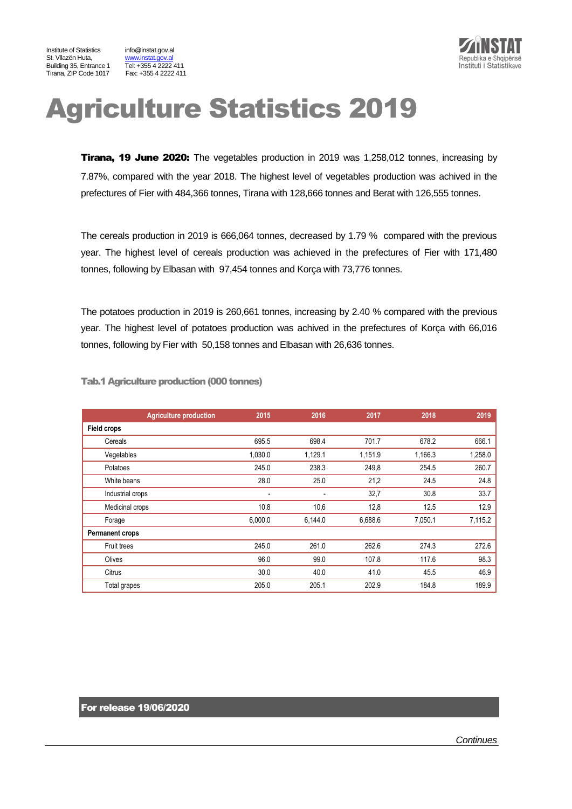Institute of Statistics info@instat.gov.al St. Vllazën Huta, metalog www.instat.gov.al<br>Building 35. Entrance 1 Tel: +355 4 2222 411 Building 35, Entrance 1 Tirana, ZIP Code 1017 Fax: +355 4 2222 411



# Agriculture Statistics 2019

**Tirana, 19 June 2020:** The vegetables production in 2019 was 1,258,012 tonnes, increasing by 7.87%, compared with the year 2018. The highest level of vegetables production was achived in the prefectures of Fier with 484,366 tonnes, Tirana with 128,666 tonnes and Berat with 126,555 tonnes.

The cereals production in 2019 is 666,064 tonnes, decreased by 1.79 % compared with the previous year. The highest level of cereals production was achieved in the prefectures of Fier with 171,480 tonnes, following by Elbasan with 97,454 tonnes and Korça with 73,776 tonnes.

The potatoes production in 2019 is 260,661 tonnes, increasing by 2.40 % compared with the previous year. The highest level of potatoes production was achived in the prefectures of Korça with 66,016 tonnes, following by Fier with 50,158 tonnes and Elbasan with 26,636 tonnes.

| <b>Agriculture production</b> | 2015    | 2016    | 2017    | 2018    | 2019    |
|-------------------------------|---------|---------|---------|---------|---------|
| <b>Field crops</b>            |         |         |         |         |         |
| Cereals                       | 695.5   | 698.4   | 701.7   | 678.2   | 666.1   |
| Vegetables                    | 1,030.0 | 1,129.1 | 1,151.9 | 1,166.3 | 1,258.0 |
| Potatoes                      | 245.0   | 238.3   | 249,8   | 254.5   | 260.7   |
| White beans                   | 28.0    | 25.0    | 21,2    | 24.5    | 24.8    |
| Industrial crops              | -       |         | 32,7    | 30.8    | 33.7    |
| Medicinal crops               | 10.8    | 10,6    | 12,8    | 12.5    | 12.9    |
| Forage                        | 6,000.0 | 6,144.0 | 6,688.6 | 7,050.1 | 7,115.2 |
| <b>Permanent crops</b>        |         |         |         |         |         |
| Fruit trees                   | 245.0   | 261.0   | 262.6   | 274.3   | 272.6   |
| Olives                        | 96.0    | 99.0    | 107.8   | 117.6   | 98.3    |
| Citrus                        | 30.0    | 40.0    | 41.0    | 45.5    | 46.9    |
| Total grapes                  | 205.0   | 205.1   | 202.9   | 184.8   | 189.9   |

Tab.1 Agriculture production (000 tonnes)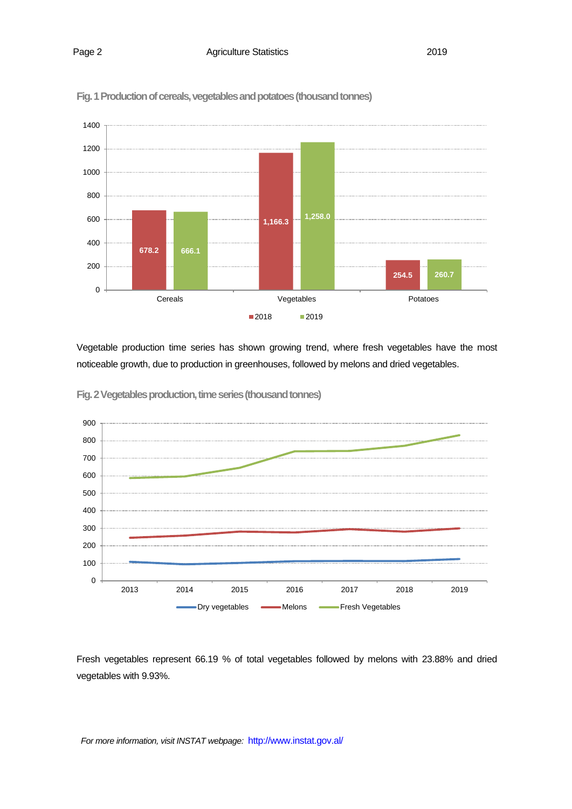

**Fig. 1 Production of cereals, vegetables and potatoes (thousand tonnes)**

Vegetable production time series has shown growing trend, where fresh vegetables have the most noticeable growth, due to production in greenhouses, followed by melons and dried vegetables.



Fig. 2 Vegetables production, time series (thousand tonnes)

Fresh vegetables represent 66.19 % of total vegetables followed by melons with 23.88% and dried vegetables with 9.93%.

*For more information, visit INSTAT webpage:* http://www.instat.gov.al/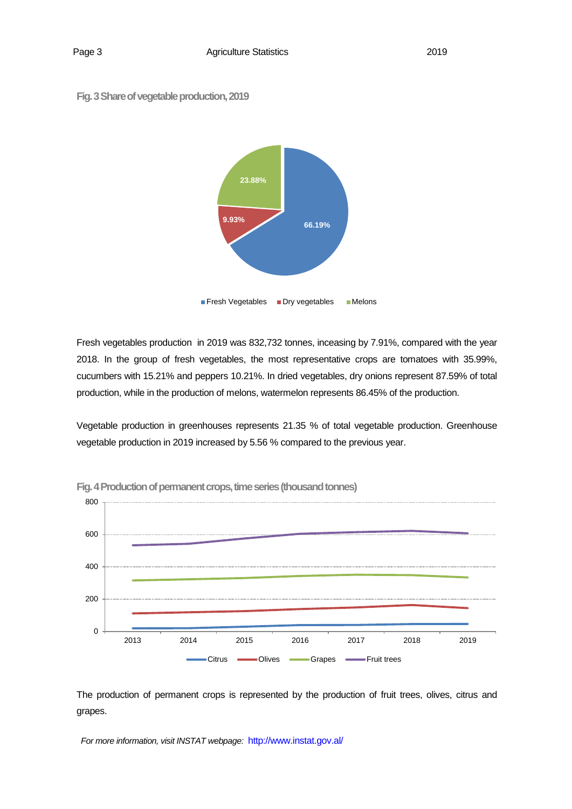



**Fresh Vegetables Dry vegetables Melons** 

Fresh vegetables production in 2019 was 832,732 tonnes, inceasing by 7.91%, compared with the year 2018. In the group of fresh vegetables, the most representative crops are tomatoes with 35.99%, cucumbers with 15.21% and peppers 10.21%. In dried vegetables, dry onions represent 87.59% of total production, while in the production of melons, watermelon represents 86.45% of the production.

Vegetable production in greenhouses represents 21.35 % of total vegetable production. Greenhouse vegetable production in 2019 increased by 5.56 % compared to the previous year.



**Fig. 4 Production of permanent crops, time series (thousand tonnes)** 

The production of permanent crops is represented by the production of fruit trees, olives, citrus and grapes.

*For more information, visit INSTAT webpage:* http://www.instat.gov.al/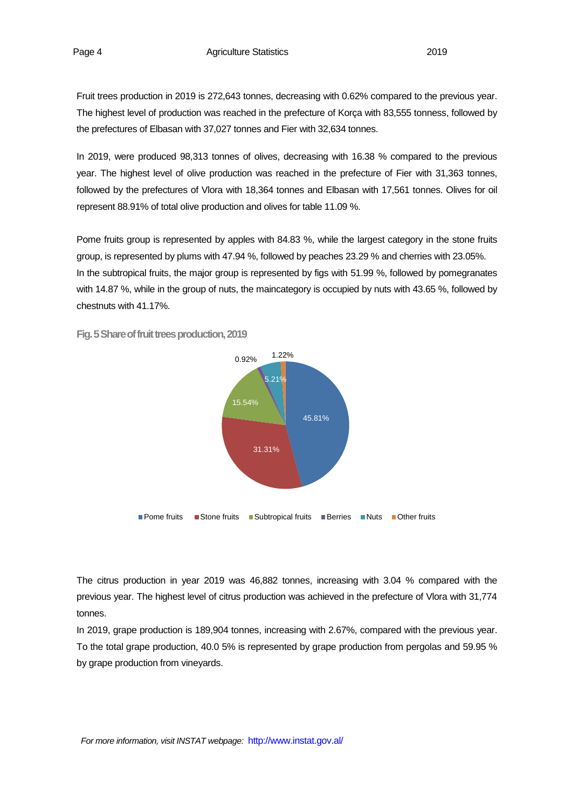Fruit trees production in 2019 is 272,643 tonnes, decreasing with 0.62% compared to the previous year. The highest level of production was reached in the prefecture of Korça with 83,555 tonness, followed by the prefectures of Elbasan with 37,027 tonnes and Fier with 32,634 tonnes.

In 2019, were produced 98,313 tonnes of olives, decreasing with 16.38 % compared to the previous year. The highest level of olive production was reached in the prefecture of Fier with 31,363 tonnes, followed by the prefectures of Vlora with 18,364 tonnes and Elbasan with 17,561 tonnes. Olives for oil represent 88.91% of total olive production and olives for table 11.09 %.

Pome fruits group is represented by apples with 84.83 %, while the largest category in the stone fruits group, is represented by plums with 47.94 %, followed by peaches 23.29 % and cherries with 23.05%. In the subtropical fruits, the major group is represented by figs with 51.99 %, followed by pomegranates with 14.87 %, while in the group of nuts, the maincategory is occupied by nuts with 43.65 %, followed by chestnuts with 41.17%.



Fig. 5 Share of fruit trees production, 2019

The citrus production in year 2019 was 46,882 tonnes, increasing with 3.04 % compared with the previous year. The highest level of citrus production was achieved in the prefecture of Vlora with 31,774 tonnes.

In 2019, grape production is 189,904 tonnes, increasing with 2.67%, compared with the previous year. To the total grape production, 40.0 5% is represented by grape production from pergolas and 59.95 % by grape production from vineyards.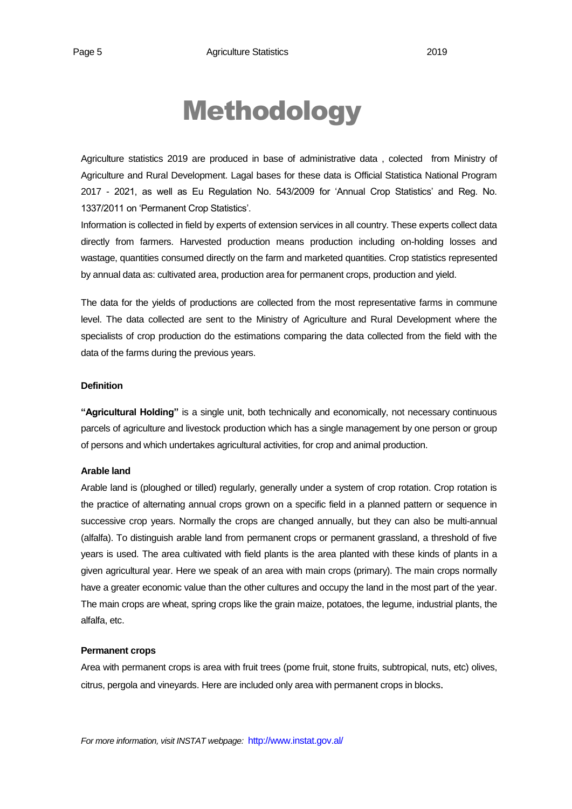## Methodology

Agriculture statistics 2019 are produced in base of administrative data , colected from Ministry of Agriculture and Rural Development. Lagal bases for these data is Official Statistica National Program 2017 - 2021, as well as Eu Regulation No. 543/2009 for 'Annual Crop Statistics' and Reg. No. 1337/2011 on 'Permanent Crop Statistics'.

Information is collected in field by experts of extension services in all country. These experts collect data directly from farmers. Harvested production means production including on-holding losses and wastage, quantities consumed directly on the farm and marketed quantities. Crop statistics represented by annual data as: cultivated area, production area for permanent crops, production and yield.

The data for the yields of productions are collected from the most representative farms in commune level. The data collected are sent to the Ministry of Agriculture and Rural Development where the specialists of crop production do the estimations comparing the data collected from the field with the data of the farms during the previous years.

#### **Definition**

**"Agricultural Holding"** is a single unit, both technically and economically, not necessary continuous parcels of agriculture and livestock production which has a single management by one person or group of persons and which undertakes agricultural activities, for crop and animal production.

### **Arable land**

Arable land is (ploughed or tilled) regularly, generally under a system of crop rotation. Crop rotation is the practice of alternating annual crops grown on a specific field in a planned pattern or sequence in successive crop years. Normally the crops are changed annually, but they can also be multi-annual (alfalfa). To distinguish arable land from permanent crops or permanent grassland, a threshold of five years is used. The area cultivated with field plants is the area planted with these kinds of plants in a given agricultural year. Here we speak of an area with main crops (primary). The main crops normally have a greater economic value than the other cultures and occupy the land in the most part of the year. The main crops are wheat, spring crops like the grain maize, potatoes, the legume, industrial plants, the alfalfa, etc.

#### **Permanent crops**

Area with permanent crops is area with fruit trees (pome fruit, stone fruits, subtropical, nuts, etc) olives, citrus, pergola and vineyards. Here are included only area with permanent crops in blocks.